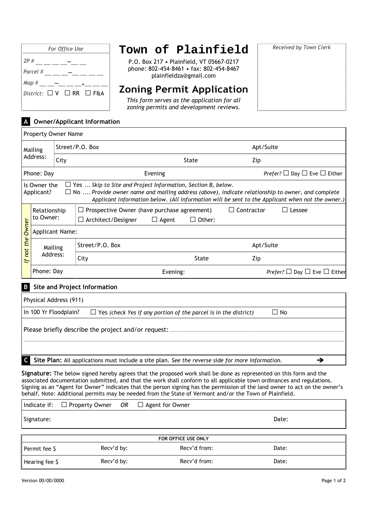| For Office Use                          |  |  |  |
|-----------------------------------------|--|--|--|
| ZP #                                    |  |  |  |
| Parcel #                                |  |  |  |
| Map #                                   |  |  |  |
| District: $\Box$ V $\Box$ RR $\Box$ F&A |  |  |  |
|                                         |  |  |  |

## **Town of Plainfield**

P.O. Box 217 • Plainfield, VT 05667-0217 phone: 802-454-8461 • fax: 802-454-8467 plainfieldza@gmail.com

## **Zoning Permit Application**

*This form serves as the application for all zoning permits and development reviews.*

## **A Owner/Applicant Information**

| A UWNER/Applicant Information |                                                                                                                                                                                                                                                                                                                  |                 |                                                                                          |              |              |                   |                                                    |
|-------------------------------|------------------------------------------------------------------------------------------------------------------------------------------------------------------------------------------------------------------------------------------------------------------------------------------------------------------|-----------------|------------------------------------------------------------------------------------------|--------------|--------------|-------------------|----------------------------------------------------|
|                               | Property Owner Name                                                                                                                                                                                                                                                                                              |                 |                                                                                          |              |              |                   |                                                    |
| Mailing<br>Address:           |                                                                                                                                                                                                                                                                                                                  | Street/P.O. Box |                                                                                          |              |              | Apt/Suite         |                                                    |
|                               |                                                                                                                                                                                                                                                                                                                  | City            |                                                                                          | State        |              | Zip               |                                                    |
| Phone: Day                    |                                                                                                                                                                                                                                                                                                                  |                 |                                                                                          | Evening      |              |                   | <i>Prefer?</i> $\Box$ Day $\Box$ Eve $\Box$ Either |
|                               | $\Box$ Yes  Skip to Site and Project Information, Section B, below.<br>Is Owner the<br>$\Box$ No  Provide owner name and mailing address (above), indicate relationship to owner, and complete<br>Applicant?<br>Applicant information below. (All information will be sent to the Applicant when not the owner.) |                 |                                                                                          |              |              |                   |                                                    |
| Owner<br>the<br>If not        | Relationship<br>to Owner:                                                                                                                                                                                                                                                                                        |                 | Prospective Owner (have purchase agreement)<br>$\mathsf{L}$<br>$\Box$ Architect/Designer | $\Box$ Agent | Other:<br>П  | $\Box$ Contractor | Lessee                                             |
|                               | Applicant Name:                                                                                                                                                                                                                                                                                                  |                 |                                                                                          |              |              |                   |                                                    |
|                               | Mailing<br>Address:                                                                                                                                                                                                                                                                                              |                 | Street/P.O. Box                                                                          |              |              | Apt/Suite         |                                                    |
|                               |                                                                                                                                                                                                                                                                                                                  |                 | City                                                                                     |              | <b>State</b> | Zip               |                                                    |
|                               | Phone: Day                                                                                                                                                                                                                                                                                                       |                 |                                                                                          | Evening:     |              |                   | Prefer? $\Box$ Day $\Box$ Eve $\Box$ Either        |
| B                             |                                                                                                                                                                                                                                                                                                                  |                 | <b>Site and Project Information</b>                                                      |              |              |                   |                                                    |

| Physical Address (911)                                                                                           |  |  |  |  |  |
|------------------------------------------------------------------------------------------------------------------|--|--|--|--|--|
| In 100 Yr Floodplain?<br>$\Box$ Yes (check Yes if any portion of the parcel is in the district)<br>⊿ No          |  |  |  |  |  |
|                                                                                                                  |  |  |  |  |  |
|                                                                                                                  |  |  |  |  |  |
| $\mathsf{C}$<br>Site Plan: All applications must include a site plan. See the reverse side for more information. |  |  |  |  |  |

**Signature:** The below signed hereby agrees that the proposed work shall be done as represented on this form and the associated documentation submitted, and that the work shall conform to all applicable town ordinances and regulations. Signing as an "Agent for Owner" indicates that the person signing has the permission of the land owner to act on the owner's behalf. Note: Additional permits may be needed from the State of Vermont and/or the Town of Plainfield.

|                     | Indicate if: $\Box$ Property Owner OR |  | $\Box$ Agent for Owner |       |
|---------------------|---------------------------------------|--|------------------------|-------|
| Signature:          |                                       |  |                        | Date: |
| FOR OFFICE USE ONLY |                                       |  |                        |       |
| Permit fee \$       | Recv'd by:                            |  | Recv'd from:           | Date: |
| Hearing fee \$      | Recv'd by:                            |  | Recv'd from:           | Date: |

*Received by Town Clerk*